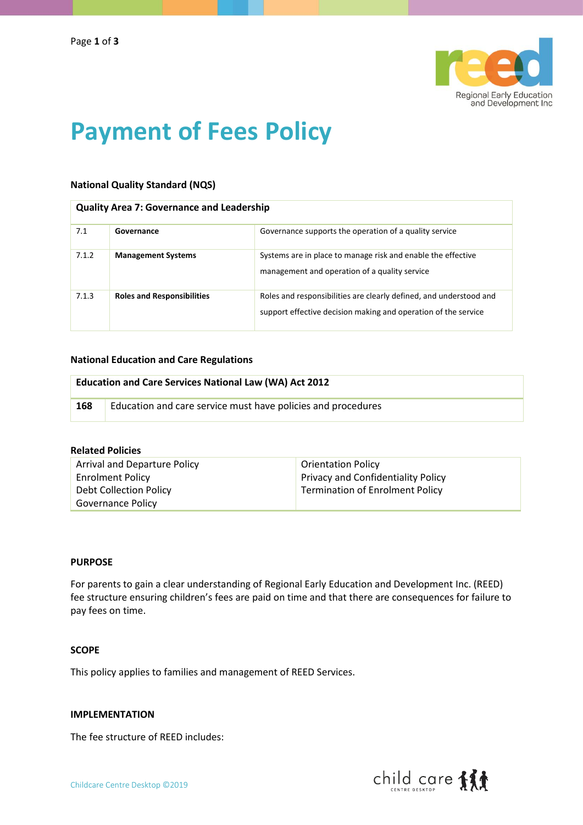

# **Payment of Fees Policy**

# **National Quality Standard (NQS)**

## **Quality Area 7: Governance and Leadership**

| 7.1   | Governance                        | Governance supports the operation of a quality service                                                                               |
|-------|-----------------------------------|--------------------------------------------------------------------------------------------------------------------------------------|
| 7.1.2 | <b>Management Systems</b>         | Systems are in place to manage risk and enable the effective<br>management and operation of a quality service                        |
| 7.1.3 | <b>Roles and Responsibilities</b> | Roles and responsibilities are clearly defined, and understood and<br>support effective decision making and operation of the service |

#### **National Education and Care Regulations**

| <b>Education and Care Services National Law (WA) Act 2012</b> |                                                              |  |
|---------------------------------------------------------------|--------------------------------------------------------------|--|
| 168                                                           | Education and care service must have policies and procedures |  |

### **Related Policies**

| Arrival and Departure Policy | <b>Orientation Policy</b>                 |
|------------------------------|-------------------------------------------|
| <b>Enrolment Policy</b>      | <b>Privacy and Confidentiality Policy</b> |
| Debt Collection Policy       | <b>Termination of Enrolment Policy</b>    |
| Governance Policy            |                                           |

## **PURPOSE**

For parents to gain a clear understanding of Regional Early Education and Development Inc. (REED) fee structure ensuring children's fees are paid on time and that there are consequences for failure to pay fees on time.

# **SCOPE**

This policy applies to families and management of REED Services.

#### **IMPLEMENTATION**

The fee structure of REED includes:

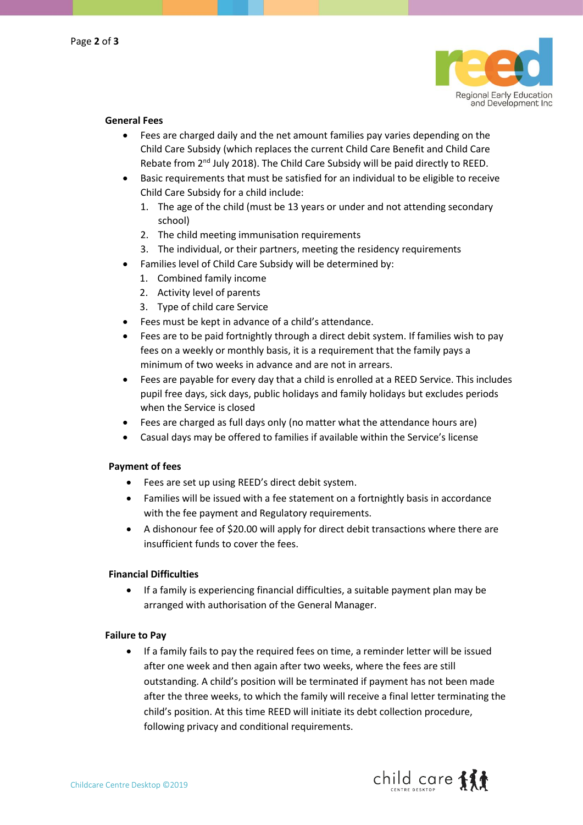

# **General Fees**

- Fees are charged daily and the net amount families pay varies depending on the Child Care Subsidy (which replaces the current Child Care Benefit and Child Care Rebate from 2<sup>nd</sup> July 2018). The Child Care Subsidy will be paid directly to REED.
- Basic requirements that must be satisfied for an individual to be eligible to receive Child Care Subsidy for a child include:
	- 1. The age of the child (must be 13 years or under and not attending secondary school)
	- 2. The child meeting immunisation requirements
	- 3. The individual, or their partners, meeting the residency requirements
- Families level of Child Care Subsidy will be determined by:
	- 1. Combined family income
	- 2. Activity level of parents
	- 3. Type of child care Service
- Fees must be kept in advance of a child's attendance.
- Fees are to be paid fortnightly through a direct debit system. If families wish to pay fees on a weekly or monthly basis, it is a requirement that the family pays a minimum of two weeks in advance and are not in arrears.
- Fees are payable for every day that a child is enrolled at a REED Service. This includes pupil free days, sick days, public holidays and family holidays but excludes periods when the Service is closed
- Fees are charged as full days only (no matter what the attendance hours are)
- Casual days may be offered to families if available within the Service's license

#### **Payment of fees**

- Fees are set up using REED's direct debit system.
- Families will be issued with a fee statement on a fortnightly basis in accordance with the fee payment and Regulatory requirements.
- A dishonour fee of \$20.00 will apply for direct debit transactions where there are insufficient funds to cover the fees.

#### **Financial Difficulties**

• If a family is experiencing financial difficulties, a suitable payment plan may be arranged with authorisation of the General Manager.

#### **Failure to Pay**

• If a family fails to pay the required fees on time, a reminder letter will be issued after one week and then again after two weeks, where the fees are still outstanding. A child's position will be terminated if payment has not been made after the three weeks, to which the family will receive a final letter terminating the child's position. At this time REED will initiate its debt collection procedure, following privacy and conditional requirements.